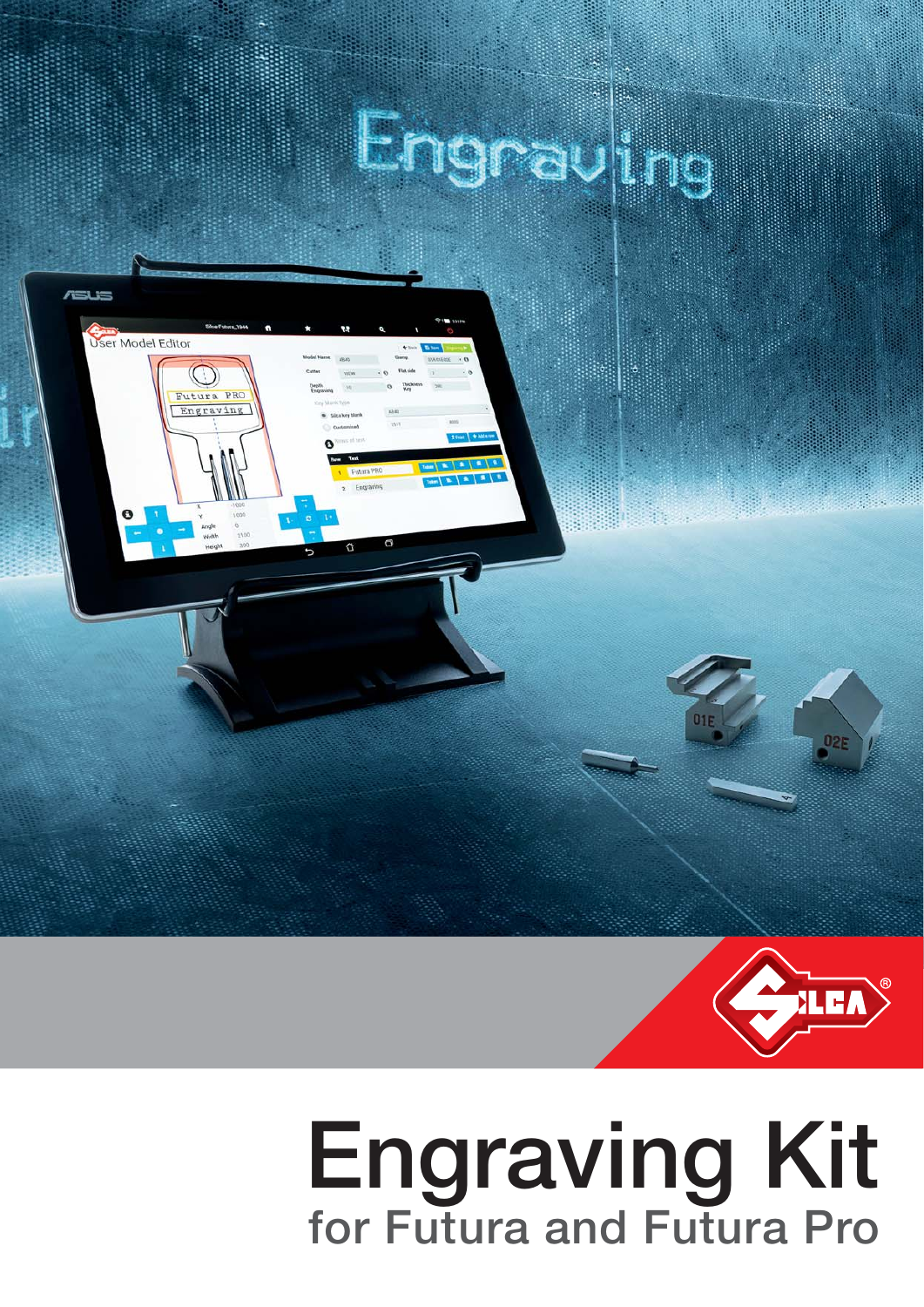





# **Engraving Kit for Futura and Futura Pro**